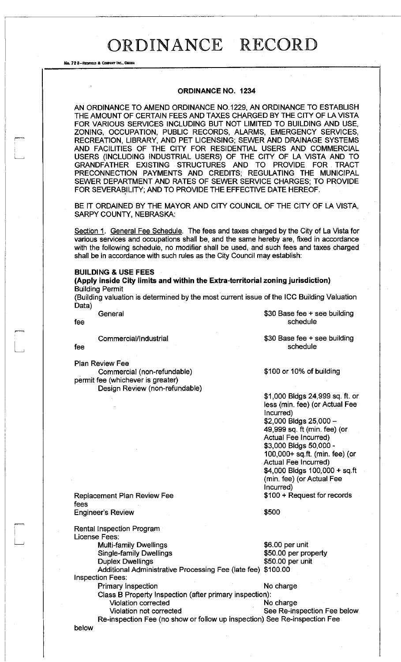No. 72 8-REDFIELD & COMPANY INC., OMAHA

#### **ORDINANCE NO. 1234**

AN ORDINANCE TO AMEND ORDINANCE NO.1229, AN ORDINANCE TO ESTABLISH THE AMOUNT OF CERTAIN FEES AND TAXES CHARGED BY THE CITY OF LA VISTA FOR VARIOUS SERVICES INCLUDING BUT NOT LIMITED TO BUILDING AND USE, ZONING, OCCUPATION, PUBLIC RECORDS, ALARMS, EMERGENCY SERVICES, RECREATION, LIBRARY, AND PET LICENSING; SEWER AND DRAINAGE SYSTEMS AND FACILITIES OF THE CITY FOR RESIDENTIAL USERS AND COMMERCIAL USERS (INCLUDING INDUSTRIAL USERS) OF THE CITY OF LA VISTA AND TO GRANDFATHER EXISTING STRUCTURES AND TO PROVIDE FOR TRACT PRECONNECTION PAYMENTS AND CREDITS; REGULATING THE MUNICIPAL SEWER DEPARTMENT AND RATES OF SEWER SERVICE CHARGES; TO PROVIDE FOR SEVERABILITY; AND TO PROVIDE THE EFFECTIVE DATE HEREOF.

BE IT ORDAINED BY THE MAYOR AND CITY COUNCIL OF THE CITY OF LA VISTA, SARPY COUNTY, NEBRASKA:

Section 1. General Fee Schedule. The fees and taxes charged by the City of La Vista for various services and occupations shall be, and the same hereby are, fixed in accordance with the following schedule, no modifier shall be used, and such fees and taxes charged shall be in accordance with such rules as the City Council may establish:

### **BUILDING & USE FEES**

**(Apply inside City limits and within the Extra-territorial zoning jurisdiction)**  Building Permit

(Building valuation is determined by the most current issue of the ICC Building Valuation Data)

Commercial/Industrial

fee

Plan Review Fee

Commercial (non-refundable) permit fee (whichever is greater) Design Review (non-refundable)

General \$30 Base fee + see building fee schedule schedule

> \$30 Base fee + see building schedule

\$100 or 10% of building

\$1,000 Bldgs 24,999 sq. ft. or less (min. fee) (or Actual Fee Incurred) \$2,000 Bldgs 25,000- 49,999 sq. ft (min. fee) (or Actual Fee Incurred) \$3,000 Bldgs 50,000- 100,000+ sq.ft. (min. fee) (or Actual Fee Incurred) \$4,000 Bldgs 100,000 + sq.ft (min. fee) (or Actual Fee Incurred) \$100 + Request for records

Replacement Plan Review Fee fees

Engineer's Review Rental Inspection Program

License Fees: Multi-family Dwellings **\$6.00 per unit** 

Duplex Dwellings **\$50.00 per unit** Additional Administrative Processing Fee (late fee) \$100.00 Inspection Fees:

Primary Inspection No charge

Single-family Dwellings  $$50.00$  per property

\$500

Class B Property Inspection (after primary inspection): Violation corrected No charge

Violation not corrected **See Re-inspection Fee below** Re-inspection Fee (no show or follow up inspection) See Re-inspection Fee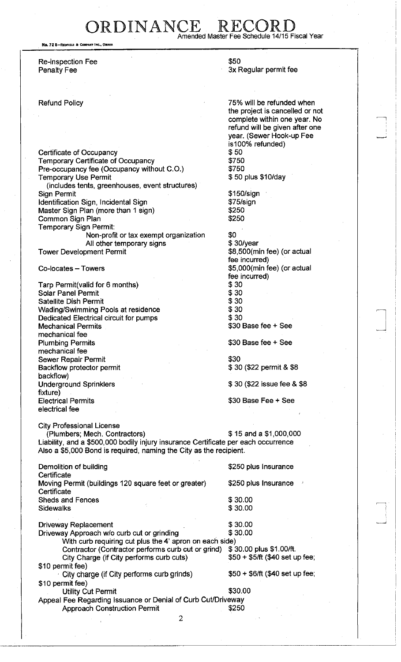DRDINANCE R Amended Master Fee Schedule 14/15 Fiscal Year

No. 72 8-REDFIELD & COMPANY INC., OMAH

Re-inspection Fee Penalty Fee

#### Refund Policy

Certificate of Occupancy Temporary Certificate of Occupancy Pre-occupancy fee (Occupancy without C.O.) Temporary Use Permit (includes tents, greenhouses, event structures) Sign Permit Identification Sign, Incidental Sign Master Sign Plan (more than 1 sign) Common Sign Plan Temporary Sign Permit: Non-profit or tax exempt organization All other temporary signs

Tower Development Permit

Co-locates - Towers

Tarp Permit(valid for 6 months) Solar Panel Permit Satellite Dish Permit Wading/Swimming Pools at residence Dedicated Electrical circuit for pumps Mechanical Permits mechanical fee Plumbing Permits mechanical fee Sewer Repair Permit Backflow protector permit backflow) Underground Sprinklers fixture) Electrical Permits electrical fee

\$50 3x Regular permit fee

75% will be refunded when the project is cancelled or not complete within one year. No refund will be given after one year. (Sewer Hook-up Fee is100% refunded) \$50 \$750 \$750 \$ 50 plus \$10/day

\$150/sign \$75/sign \$250 \$250

\$0 \$ 30/year \$8,500(min fee) (or actual fee incurred) \$5,000(min fee) (or actual fee incurred) \$30 \$30 \$30 \$30 \$30 \$30 Base fee + See

\$30 Base fee + See

\$30 \$ 30 (\$22 permit & \$8

\$ 30 (\$22 issue fee & \$8

\$30 Base Fee + See

City Professional License (Plumbers; Mech. Contractors) \$ 15 and a \$1,000,000 Liability, and a \$500,000 bodily injury insurance Certificate per each occurrence Also a \$5,000 Bond is required, naming the City as the recipient.

| Demolition of building                                       | \$250 plus Insurance            |
|--------------------------------------------------------------|---------------------------------|
| Certificate                                                  |                                 |
| Moving Permit (buildings 120 square feet or greater)         | \$250 plus Insurance            |
| Certificate                                                  |                                 |
| <b>Sheds and Fences</b>                                      | \$30.00                         |
| <b>Sidewalks</b>                                             | \$30.00                         |
|                                                              |                                 |
| <b>Driveway Replacement</b>                                  | \$30.00                         |
| Driveway Approach w/o curb cut or grinding                   | \$30.00                         |
| With curb requiring cut plus the 4' apron on each side)      |                                 |
| Contractor (Contractor performs curb cut or grind)           | \$30.00 plus \$1.00/ft.         |
| City Charge (if City performs curb cuts)                     | $$50 + $5/ft$ (\$40 set up fee; |
| \$10 permit fee)                                             |                                 |
| City charge (if City performs curb grinds)                   | $$50 + $6/ft$ (\$40 set up fee; |
| \$10 permit fee)                                             |                                 |
| <b>Utility Cut Permit</b>                                    | \$30.00                         |
| Appeal Fee Regarding Issuance or Denial of Curb Cut/Driveway |                                 |
| <b>Approach Construction Permit</b>                          | \$250                           |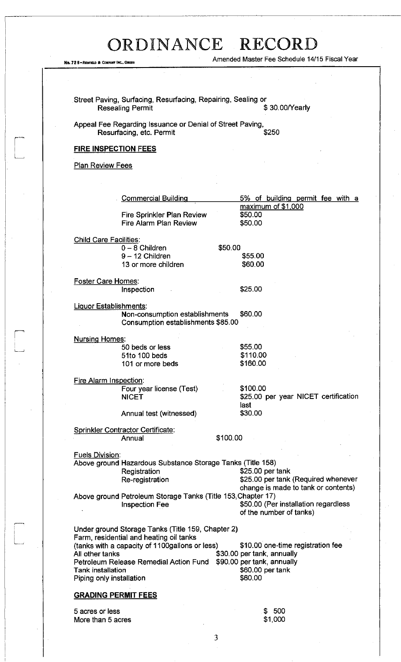Amended Master Fee Schedule 14/15 Fiscal Year

Street Paving, Surfacing, Resurfacing, Repairing, Sealing or Resealing Permit **All and Struck and Struck and Struck** \$ 30.00/Yearly

Appeal Fee Regarding Issuance or Denial of Street Paving, Resurfacing, etc. Permit **Example 3250** 

### **FIRE INSPECTION FEES**

**Plan Review Fees** 

More than 5 acres

No. 72 8-REDFIELD & COMPANY INC., OMAHA

|                               | <b>Commercial Building</b>                                   |          | 5% of building permit fee with a     |
|-------------------------------|--------------------------------------------------------------|----------|--------------------------------------|
|                               |                                                              |          | maximum of \$1,000                   |
|                               | <b>Fire Sprinkler Plan Review</b>                            |          | \$50.00                              |
|                               | Fire Alarm Plan Review                                       |          | \$50.00                              |
|                               |                                                              |          |                                      |
| <b>Child Care Facilities:</b> |                                                              |          |                                      |
|                               | $0 - 8$ Children                                             | \$50.00  |                                      |
|                               | $9 - 12$ Children                                            |          | \$55.00                              |
|                               | 13 or more children                                          |          | \$60.00                              |
|                               |                                                              |          |                                      |
| Foster Care Homes:            |                                                              |          |                                      |
|                               | Inspection                                                   |          | \$25.00                              |
|                               |                                                              |          |                                      |
|                               |                                                              |          |                                      |
| Liquor Establishments:        |                                                              |          | \$60.00                              |
|                               | Non-consumption establishments                               |          |                                      |
|                               | Consumption establishments \$85.00                           |          |                                      |
|                               |                                                              |          |                                      |
| <b>Nursing Homes:</b>         |                                                              |          |                                      |
|                               | 50 beds or less                                              |          | \$55.00                              |
|                               | 51to 100 beds                                                |          | \$110.00                             |
|                               | 101 or more beds                                             |          | \$160.00                             |
|                               |                                                              |          |                                      |
| Fire Alarm Inspection:        |                                                              |          |                                      |
|                               | Four year license (Test)                                     |          | \$100.00                             |
|                               | <b>NICET</b>                                                 |          | \$25.00 per year NICET certification |
|                               |                                                              |          | last                                 |
|                               | Annual test (witnessed)                                      |          | \$30.00                              |
|                               |                                                              |          |                                      |
|                               | <b>Sprinkler Contractor Certificate:</b>                     |          |                                      |
|                               | Annual                                                       | \$100.00 |                                      |
|                               |                                                              |          |                                      |
| <b>Fuels Division:</b>        |                                                              |          |                                      |
|                               | Above ground Hazardous Substance Storage Tanks (Title 158)   |          |                                      |
|                               | Registration                                                 |          | \$25.00 per tank                     |
|                               | Re-registration                                              |          | \$25.00 per tank (Required whenever  |
|                               |                                                              |          | change is made to tank or contents)  |
|                               | Above ground Petroleum Storage Tanks (Title 153, Chapter 17) |          |                                      |
|                               | <b>Inspection Fee</b>                                        |          | \$50.00 (Per installation regardless |
|                               |                                                              |          | of the number of tanks)              |
|                               |                                                              |          |                                      |
|                               | Under ground Storage Tanks (Title 159, Chapter 2)            |          |                                      |
|                               | Farm, residential and heating oil tanks                      |          |                                      |
|                               | (tanks with a capacity of 1100gallons or less)               |          | \$10.00 one-time registration fee    |
| All other tanks               |                                                              |          | \$30.00 per tank, annually           |
|                               | Petroleum Release Remedial Action Fund                       |          | \$90.00 per tank, annually           |
| Tank installation             |                                                              |          | \$60.00 per tank                     |
| Piping only installation      |                                                              |          | \$60.00                              |
|                               |                                                              |          |                                      |
|                               |                                                              |          |                                      |
| <b>GRADING PERMIT FEES</b>    |                                                              |          |                                      |
| 5 acres or less               |                                                              |          | - 500<br>æ.                          |
| More than 5 acres             |                                                              |          | \$1,000                              |
|                               |                                                              |          |                                      |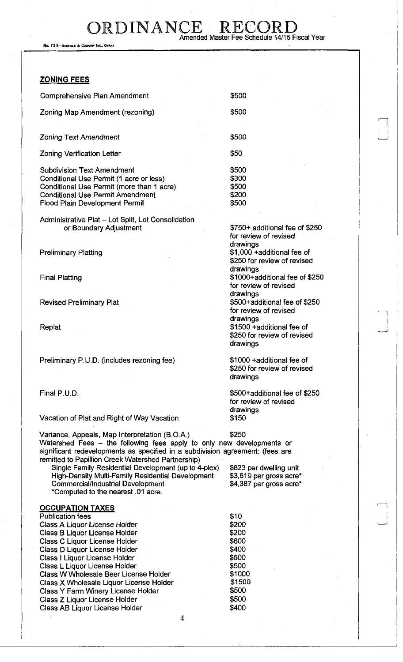DRDINANCE RECO Amended Master Fee Schedule 14/15 Fiscal Year

No. 72 B-REDFIELD & COMPANY INC., OMAHA

### **ZONING FEES**

| Comprehensive Plan Amendment                                                                                                                                                                           | \$500                                     |
|--------------------------------------------------------------------------------------------------------------------------------------------------------------------------------------------------------|-------------------------------------------|
| Zoning Map Amendment (rezoning)                                                                                                                                                                        | \$500                                     |
| <b>Zoning Text Amendment</b>                                                                                                                                                                           | \$500                                     |
| Zoning Verification Letter                                                                                                                                                                             | \$50                                      |
| <b>Subdivision Text Amendment</b><br>Conditional Use Permit (1 acre or less)<br>Conditional Use Permit (more than 1 acre)<br><b>Conditional Use Permit Amendment</b><br>Flood Plain Development Permit | \$500<br>\$300<br>\$500<br>\$200<br>\$500 |

Administrative Plat - Lot Split, Lot Consolidation or Boundary Adjustment

Preliminary Platting

Final Platting

Revised Preliminary Plat

Replat

Preliminary P.U.D. (includes rezoning fee)

Final P.U.D.

Vacation of Plat and Right of Way Vacation

for review of revised drawings \$1,000 +additional fee of \$250 for review of revised drawings \$1000+additional fee of \$250 for review of revised drawings \$500+additionai fee of \$250 for review of revised drawings \$1500 +additional fee of \$250 for review of revised drawings

 $\Box$ 

\$750+ additional fee of \$250

\$1000 +additional fee of \$250 for review of revised drawings

\$500+additional fee of \$250 for review of revised drawings \$150

Variance, Appeals, Map Interpretation (B.O.A.) \$250 Watershed Fees - the following fees apply to only new developments or significant redevelopments as specified in a subdivision agreement: (fees are remitted to Papillion Creek Watershed Partnership)

Single Family Residential Development (up to 4-plex) High-Density Multi-Family Residential Development Commercial/Industrial Development \*Computed to the nearest .01 acre.

## OCCUPATION TAXES

Publication fees Class A Liquor License Holder Class B Liquor License Holder Class C Liquor License Holder Class D Liquor License Holder Class I Liquor License Holder Class L Liquor License Holder Class W Wholesale Beer License Holder Class X Wholesale Liquor License Holder Class Y Farm Winery License Holder Class Z Liquor License Holder Class AB Liquor License Holder

\$823 per dwelling unit \$3,619 per gross acre' \$4,387 per gross acre\*

\$10 \$200 \$200 \$600 \$400 \$500 \$500 \$1000 \$1500 \$500 \$500 \$400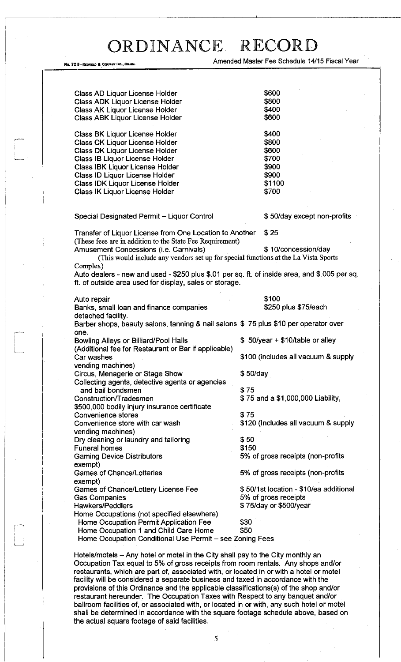No. 72 8-REDFIELD & COMPANY INC.

Amended Master Fee Schedule 14/15 Fiscal Year

| Class AD Liquor License Holder                                                                                                                                                                                                                                                                                                                                                                                                      | \$600                                  |
|-------------------------------------------------------------------------------------------------------------------------------------------------------------------------------------------------------------------------------------------------------------------------------------------------------------------------------------------------------------------------------------------------------------------------------------|----------------------------------------|
| Class ADK Liquor License Holder                                                                                                                                                                                                                                                                                                                                                                                                     | \$800                                  |
| Class AK Liquor License Holder                                                                                                                                                                                                                                                                                                                                                                                                      | \$400                                  |
|                                                                                                                                                                                                                                                                                                                                                                                                                                     | \$600                                  |
| <b>Class ABK Liquor License Holder</b>                                                                                                                                                                                                                                                                                                                                                                                              |                                        |
| Class BK Liquor License Holder                                                                                                                                                                                                                                                                                                                                                                                                      | \$400                                  |
| Class CK Liquor License Holder                                                                                                                                                                                                                                                                                                                                                                                                      | \$800                                  |
| Class DK Liquor License Holder                                                                                                                                                                                                                                                                                                                                                                                                      | \$600                                  |
| Class IB Liquor License Holder                                                                                                                                                                                                                                                                                                                                                                                                      | \$700                                  |
|                                                                                                                                                                                                                                                                                                                                                                                                                                     | \$900                                  |
| Class IBK Liquor License Holder                                                                                                                                                                                                                                                                                                                                                                                                     |                                        |
| Class ID Liquor License Holder                                                                                                                                                                                                                                                                                                                                                                                                      | \$900                                  |
| Class IDK Liquor License Holder                                                                                                                                                                                                                                                                                                                                                                                                     | \$1100                                 |
| Class IK Liquor License Holder                                                                                                                                                                                                                                                                                                                                                                                                      | \$700                                  |
| Special Designated Permit - Liquor Control                                                                                                                                                                                                                                                                                                                                                                                          | \$50/day except non-profits            |
|                                                                                                                                                                                                                                                                                                                                                                                                                                     |                                        |
| Transfer of Liquor License from One Location to Another<br>(These fees are in addition to the State Fee Requirement)                                                                                                                                                                                                                                                                                                                | \$25                                   |
| Amusement Concessions (i.e. Carnivals)                                                                                                                                                                                                                                                                                                                                                                                              | \$10/concession/day                    |
| (This would include any vendors set up for special functions at the La Vista Sports                                                                                                                                                                                                                                                                                                                                                 |                                        |
| Complex)                                                                                                                                                                                                                                                                                                                                                                                                                            |                                        |
| Auto dealers - new and used - \$250 plus \$.01 per sq. ft. of inside area, and \$.005 per sq.                                                                                                                                                                                                                                                                                                                                       |                                        |
| ft. of outside area used for display, sales or storage.                                                                                                                                                                                                                                                                                                                                                                             |                                        |
| Auto repair                                                                                                                                                                                                                                                                                                                                                                                                                         | \$100                                  |
| Banks, small loan and finance companies                                                                                                                                                                                                                                                                                                                                                                                             | \$250 plus \$75/each                   |
| detached facility.                                                                                                                                                                                                                                                                                                                                                                                                                  |                                        |
| Barber shops, beauty salons, tanning & nail salons \$75 plus \$10 per operator over                                                                                                                                                                                                                                                                                                                                                 |                                        |
| one.<br><b>Bowling Alleys or Billiard/Pool Halls</b>                                                                                                                                                                                                                                                                                                                                                                                | \$50/year + \$10/table or alley        |
| (Additional fee for Restaurant or Bar if applicable)                                                                                                                                                                                                                                                                                                                                                                                |                                        |
| Car washes                                                                                                                                                                                                                                                                                                                                                                                                                          | \$100 (includes all vacuum & supply    |
|                                                                                                                                                                                                                                                                                                                                                                                                                                     |                                        |
| vending machines)                                                                                                                                                                                                                                                                                                                                                                                                                   |                                        |
| Circus, Menagerie or Stage Show                                                                                                                                                                                                                                                                                                                                                                                                     | \$50/day                               |
| Collecting agents, detective agents or agencies                                                                                                                                                                                                                                                                                                                                                                                     |                                        |
| and bail bondsmen                                                                                                                                                                                                                                                                                                                                                                                                                   | \$75                                   |
| Construction/Tradesmen                                                                                                                                                                                                                                                                                                                                                                                                              | \$75 and a \$1,000,000 Liability,      |
|                                                                                                                                                                                                                                                                                                                                                                                                                                     |                                        |
|                                                                                                                                                                                                                                                                                                                                                                                                                                     |                                        |
|                                                                                                                                                                                                                                                                                                                                                                                                                                     | \$75                                   |
|                                                                                                                                                                                                                                                                                                                                                                                                                                     | \$120 (Includes all vacuum & supply    |
|                                                                                                                                                                                                                                                                                                                                                                                                                                     |                                        |
|                                                                                                                                                                                                                                                                                                                                                                                                                                     | \$50                                   |
|                                                                                                                                                                                                                                                                                                                                                                                                                                     | \$150                                  |
|                                                                                                                                                                                                                                                                                                                                                                                                                                     |                                        |
|                                                                                                                                                                                                                                                                                                                                                                                                                                     | 5% of gross receipts (non-profits      |
|                                                                                                                                                                                                                                                                                                                                                                                                                                     |                                        |
|                                                                                                                                                                                                                                                                                                                                                                                                                                     | 5% of gross receipts (non-profits      |
|                                                                                                                                                                                                                                                                                                                                                                                                                                     |                                        |
|                                                                                                                                                                                                                                                                                                                                                                                                                                     | \$50/1st location - \$10/ea additional |
|                                                                                                                                                                                                                                                                                                                                                                                                                                     | 5% of gross receipts                   |
|                                                                                                                                                                                                                                                                                                                                                                                                                                     | \$75/day or \$500/year                 |
| \$500,000 bodily injury insurance certificate<br>Convenience stores<br>Convenience store with car wash<br>vending machines)<br>Dry cleaning or laundry and tailoring<br><b>Funeral homes</b><br><b>Gaming Device Distributors</b><br>exempt)<br><b>Games of Chance/Lotteries</b><br>exempt)<br>Games of Chance/Lottery License Fee<br><b>Gas Companies</b><br><b>Hawkers/Peddlers</b><br>Home Occupations (not specified elsewhere) |                                        |
| Home Occupation Permit Application Fee                                                                                                                                                                                                                                                                                                                                                                                              | \$30                                   |
| Home Occupation 1 and Child Care Home<br>Home Occupation Conditional Use Permit - see Zoning Fees                                                                                                                                                                                                                                                                                                                                   | \$50                                   |

Hotels/motels - Any hotel or motel in the City shall pay to the City monthly an Occupation Tax equal to 5% of gross receipts from room rentals. Any shops and/or restaurants, which are part of, associated with, or located in or with a hotel or motel facility will be considered a separate business and taxed in accordance with the provisions of this Ordinance and the applicable classifications(s) of the shop and/or restaurant hereunder. The Occupation Taxes with Respect to any banquet and/or ballroom facilities of, or associated with, or located in or with, any such hotel or motel shall be determined in accordance with the square footage schedule above, based on the actual square footage of said facilities.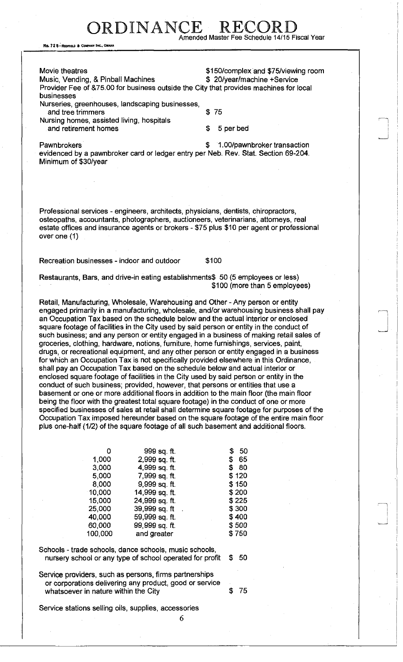RDINANCE Amended Master Fee Schedule 14/15 Fiscal Year

No. 72 8-REDFIELD & COMPANY INC., OMAHA

Movie theatres **\$150/complex and \$75/viewing room** Music, Vending, & Pinball Machines  $\qquad$  \$ 20/year/machine +Service Provider Fee of &75.00 for business outside the City that provides machines for local businesses Nurseries, greenhouses, landscaping businesses, and tree trimmers \$ 75 Nursing homes, assisted living, hospitals and retirement homes  $\sim$  5 per bed

Pawnbrokers **Baunding Contracts 3 1.00/pawnbroker transaction** evidenced by a pawnbroker card or ledger entry per Neb. Rev. Stat. Section 69-204. Minimum of \$30/year

Professional services - engineers, architects, physicians, dentists, chiropractors, osteopaths, accountants, photographers, auctioneers, veterinarians, attorneys, real estate offices and insurance agents or brokers - \$75 plus \$10 per agent or professional over one (1)

Recreation businesses - indoor and outdoor \$100

Restaurants, Bars, and drive-in eating establishments\$ 50 (5 employees or less) \$100 (more than 5 employees)

Retail, Manufacturing, Wholesale, Warehousing and Other - Any person or entity engaged primarily in a manufacturing, wholesale, and/or warehousing business shall pay an Occupation Tax based on the schedule below and the actual interior or enclosed square footage of facilities in the City used by said person or entity in the conduct of such business; and any person or entity engaged in a business of making retail sales of groceries, clothing, hardware, notions, furniture, home furnishings, services, paint, drugs, or recreational equipment, and any other person or entity engaged in a business for which an Occupation Tax is not specifically provided elsewhere in this Ordinance, shall pay an Occupation Tax based on the schedule below and actual interior or enclosed square footage of facilities in the City used by said person or entity in the conduct of such business; provided, however, that persons or entities that use a basement or one or more additional floors in addition to the main floor (the main floor being the floor with the greatest total square footage) in the conduct of one or more specified businesses of sales at retail shall determine square footage for purposes of the Occupation Tax imposed hereunder based on the square footage of the entire main floor plus one-half (1/2) of the square footage of all such basement and additional floors.

| 0       | 999 sq. ft.    | 50<br>S  |
|---------|----------------|----------|
| 1,000   | 2,999 sq. ft.  | 65<br>S. |
| 3,000   | 4,999 sq. ft.  | 80<br>S  |
| 5,000   | 7,999 sq. ft.  | \$120    |
| 8,000   | 9,999 sq. ft.  | \$150    |
| 10,000  | 14,999 sq. ft. | \$200    |
| 15,000  | 24,999 sq. ft. | \$225    |
| 25,000  | 39,999 sq. ft  | \$300    |
| 40,000  | 59,999 sq. ft. | \$400    |
| 60,000  | 99,999 sq. ft. | \$500    |
| 100,000 | and greater    | \$750    |
|         |                |          |

Schools - trade schools, dance schools, music schools, nursery school or any type of school operated for profit \$ 50

Service providers, such as persons, firms partnerships or corporations delivering any product, good or service whatsoever in nature within the City **\$75** 

Service stations selling oils, supplies, accessories

6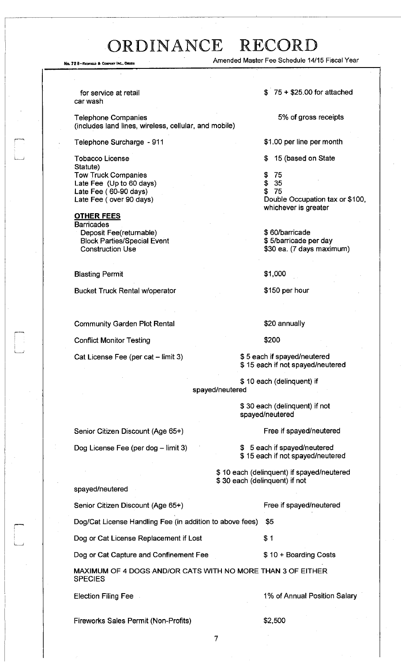No. 72 8-REDRELA & COMPANY INC., OMAHA Amended Master Fee Schedule 14/15 Fiscal Year

for service at retail car wash

Telephone Companies (includes land lines, wireless, cellular, and mobile)

Telephone Surcharge - 911

Tobacco License Statute) Tow Truck Companies Late Fee (Up to 60 days) Late Fee (60-90 days) Late Fee (over 90 days)

**OTHER FEES Barricades** Deposit Fee(returnable) Block Parties/Special Event Construction Use

Blasting Permit

Bucket Truck Rental w/operator

Community Garden Plot Rental

Conflict Monitor Testing

Cat License Fee (per cat - limit 3)

Senior Citizen Discount (Age 65+)

Dog License Fee (per dog - limit 3)

 $$75 + $25.00$  for attached

5% of gross receipts

\$1.00 per line per month

\$ 15 (based on State

- \$ 75
- \$ 35

\$ 75 Double Occupation tax or \$100, whichever is greater

\$ 60/barricade \$ 5/barricade per day \$30 ea. (7 days maximum)

\$1,000

\$150 per hour

\$20 annually

\$200

\$ 5 each if spayed/neutered \$ 15 each if not spayed/neutered

\$ 10 each (delinquent) if

spayed/neutered

\$ 30 each (delinquent) if not spayed/neutered

Free if spayed/neutered

\$ 5 each if spayed/neutered \$ 15 each if not spayed/neutered

\$ 10 each (delinquent) if spayed/neutered \$ 30 each (delinquent) if not

| spayed/neutered                                                               |                              |
|-------------------------------------------------------------------------------|------------------------------|
| Senior Citizen Discount (Age 65+)                                             | Free if spayed/neutered      |
| Dog/Cat License Handling Fee (in addition to above fees)                      | \$5                          |
| Dog or Cat License Replacement if Lost                                        | \$1                          |
| Dog or Cat Capture and Confinement Fee                                        | \$10 + Boarding Costs        |
| MAXIMUM OF 4 DOGS AND/OR CATS WITH NO MORE THAN 3 OF EITHER<br><b>SPECIES</b> |                              |
| <b>Election Filing Fee</b>                                                    | 1% of Annual Position Salary |
|                                                                               |                              |

Fireworks Sales Permit (Non-Profits)  $$2,500$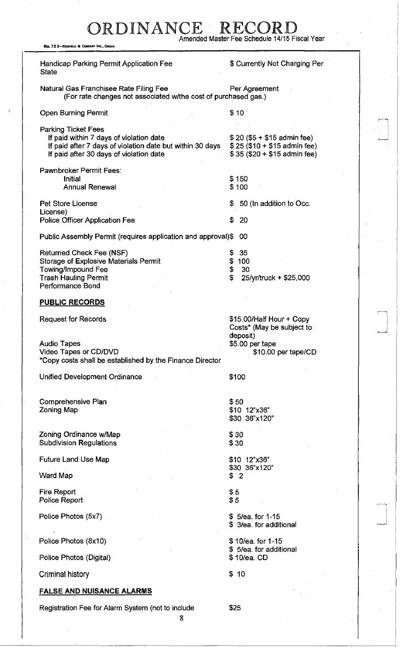### RDINANCE R Amended Master Fee Schedule 14/15 Fiscal Year

No. 72 B-REOFIELD & COMPANY INC., OMAH

Handicap Parking Permit Application Fee **State** \$ Currently Not Charging Per Natural Gas Franchisee Rate Filing Fee Per Agreement (For rate changes not associated w/the cost of purchased gas.) Open Burning Permit \$ 10 Parking Ticket Fees If paid within 7 days of violation date  $$20 ($5 + $15$)$  admin fee)<br>If paid after 7 days of violation date but within 30 days  $$25 ($10 + $15$)$  admin fee) If paid after 7 days of violation date but within 30 days If paid after 30 days of violation date  $$35 ($20 + $15$)$  admin fee) Pawnbroker Permit Fees: Initial Annual Renewal \$ 150 \$ 100 \$ 50 (In addition to Occ. \$ 20 Public Assembly Permit (requires application and approval)\$ 00 Pet Store License License) Police Officer Application Fee Returned Check Fee (NSF) Storage of Explosive Materials Permit Towing/Impound Fee Trash Hauling Permit Performance Bond \$ 35 \$ 100 \$ 30 \$ 25/yr/truck + \$25,000 **PUBLIC RECORDS**  Request for Records **\$15.00/Half Hour + Copy** Costs\* (May be subject to deposit) Audio Tapes **Audio Tapes 35.00 per tape** Video Tapes or CD/DVD **\$10.00 per tape/CD** \*Copy costs shall be established by the Finance Director Unified Development Ordinance **\$100** Comprehensive Plan Zoning Map Zoning Ordinance w/Map Subdivision Regulations Future Land Use Map Ward Map Fire Report Police Report Police Photos (5x7) Police Photos (8x10) Police Photos (Digital) Criminal history \$50 \$10 12"x36" \$30 36"x120" \$30 \$30 \$10 12"x36" \$30 36"x120" \$ 2 \$5 \$5 \$ 5/ea. for 1-15 \$ 3/ea. for additional \$10/ea. for 1-15 \$ 5/ea. for additional \$ 10/ea. CD \$ 10 **FALSE AND NUISANCE ALARMS**  Registration Fee for Alarm System (not to include \$25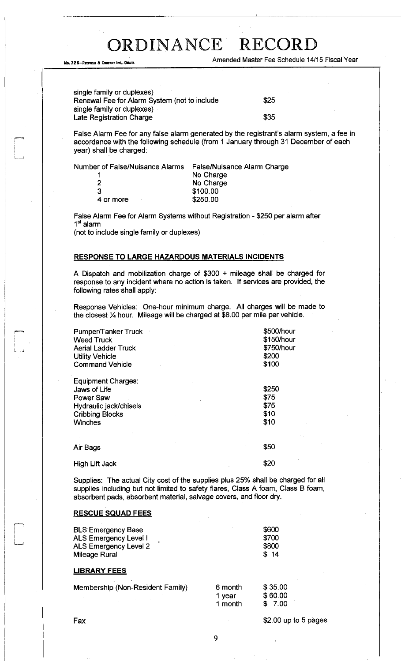No. 72 8-REDFIELD & COMPART INC., OMAHA Amended Master Fee Schedule 14/15 Fiscal Year

single family or duplexes) Renewal Fee for Alarm System (not to include single family or duplexes) Late Registration Charge

\$25 \$35

False Alarm Fee for any false alarm generated by the registrant's alarm system, a fee in accordance with the following schedule (from 1 January through 31 December of each year) shall be charged:

Number of False/Nuisance Alarms False/Nuisance Alarm Charge

| 1         | No Charge |
|-----------|-----------|
| 2         | No Charge |
| 3         | \$100.00  |
| 4 or more | \$250.00  |
|           |           |

False Alarm Fee for Alarm Systems without Registration - \$250 per alarm after 1<sup>st</sup> alarm

(not to include single family or duplexes)

#### **RESPONSE TO LARGE HAZARDOUS MATERIALS INCIDENTS**

A Dispatch and mobilization charge of \$300 + mileage shall be charged for response to any incident where no action is taken. If services are provided, the following rates shall apply:

Response Vehicles: One-hour minimum charge. All charges will be made to the closest % hour. Mileage will be charged at \$8.00 per mile per vehicle.

| Pumper/Tanker Truck<br><b>Weed Truck</b><br><b>Aerial Ladder Truck</b><br><b>Utility Vehicle</b><br><b>Command Vehicle</b>   | \$500/hour<br>\$150/hour<br>\$750/hour<br>\$200<br>\$100 |
|------------------------------------------------------------------------------------------------------------------------------|----------------------------------------------------------|
| Equipment Charges:<br>Jaws of Life<br><b>Power Saw</b><br>Hydraulic jack/chisels<br><b>Cribbing Blocks</b><br><b>Winches</b> | \$250<br>\$75<br>\$75<br>\$10<br>\$10                    |
| Air Bags                                                                                                                     | \$50                                                     |
| <b>High Lift Jack</b>                                                                                                        | \$20                                                     |

Supplies: The actual City cost of the supplies plus 25% shall be charged for all supplies including but not limited to safety flares, Class A foam, Class B foam, absorbent pads, absorbent material, salvage covers, and floor dry.

### **RESCUE SQUAD FEES**

| <b>BLS Emergency Base</b><br>ALS Emergency Level I<br><b>ALS Emergency Level 2</b><br>Mileage Rural |         | \$600<br>\$700<br>\$800<br>\$14 |
|-----------------------------------------------------------------------------------------------------|---------|---------------------------------|
| <b>LIBRARY FEES</b>                                                                                 |         |                                 |
| Membership (Non-Resident Family)                                                                    | 6 month | \$35.00                         |

| าt Family). | 6 month | \$35.00 |
|-------------|---------|---------|
|             | 1 year  | \$60.00 |
|             | 1 month | \$7.00  |

Fax \$2.00 up to 5 pages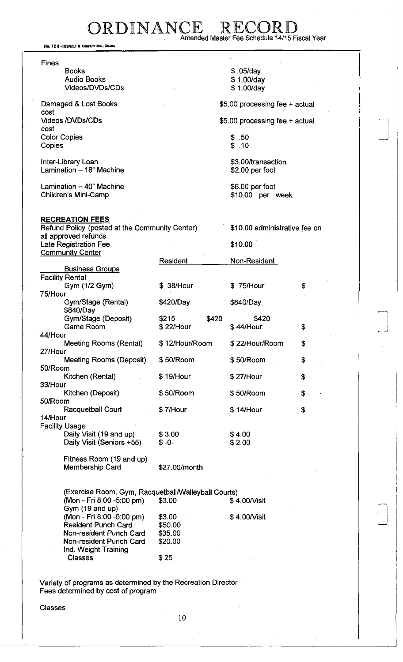### ORDINANCE RECORD Amended Master Fee Schedule 14/15 Fiscal Year

No. 72 B-REDFIELD & COMPANY INC., OMAHA

| <b>Fines</b>                                                                     |                    |                                       |  |
|----------------------------------------------------------------------------------|--------------------|---------------------------------------|--|
| <b>Books</b>                                                                     |                    | \$.05/day                             |  |
| <b>Audio Books</b><br>Videos/DVDs/CDs                                            |                    | \$1.00/day                            |  |
|                                                                                  |                    | \$1.00/day                            |  |
| Damaged & Lost Books<br>cost                                                     |                    | \$5.00 processing fee + actual        |  |
| <b>Videos/DVDs/CDs</b><br>cost                                                   |                    | \$5.00 processing fee + actual        |  |
| <b>Color Copies</b><br>Copies                                                    |                    | \$.50<br>\$.10                        |  |
|                                                                                  |                    |                                       |  |
| Inter-Library Loan<br>Lamination - 18" Machine                                   |                    | \$3.00/transaction<br>\$2.00 per foot |  |
| Lamination - 40" Machine                                                         |                    | \$6.00 per foot                       |  |
| Children's Mini-Camp                                                             |                    | \$10.00 per week                      |  |
| <b>RECREATION FEES</b>                                                           |                    |                                       |  |
| Refund Policy (posted at the Community Center)<br>all approved refunds           |                    | \$10.00 administrative fee on         |  |
| Late Registration Fee<br><b>Community Center</b>                                 |                    | \$10.00                               |  |
|                                                                                  | Resident           | Non-Resident                          |  |
| <b>Business Groups</b><br><b>Facility Rental</b>                                 |                    |                                       |  |
| Gym (1/2 Gym)                                                                    | \$ 38/Hour         | \$75/Hour<br>\$                       |  |
| 75/Hour<br>Gym/Stage (Rental)                                                    | \$420/Day          | \$840/Day                             |  |
| \$840/Day                                                                        |                    |                                       |  |
| Gym/Stage (Deposit)<br><b>Game Room</b>                                          | \$215<br>\$22/Hour | \$420<br>\$420<br>\$44/Hour<br>\$     |  |
| 44/Hour                                                                          |                    |                                       |  |
| <b>Meeting Rooms (Rental)</b><br>27/Hour                                         | \$12/Hour/Room     | \$22/Hour/Room<br>\$                  |  |
| Meeting Rooms (Deposit)                                                          | \$50/Room          | \$50/Room<br>\$                       |  |
| 50/Room<br>Kitchen (Rental)                                                      | \$19/Hour          | \$27/Hour<br>\$                       |  |
| 33/Hour                                                                          |                    |                                       |  |
| Kitchen (Deposit)<br>50/Room                                                     | \$50/Room          | \$50/Room<br>\$                       |  |
| Racquetball Court                                                                | \$7/Hour           | \$14/Hour<br>\$                       |  |
| 14/Hour                                                                          |                    |                                       |  |
| <b>Facility Usage</b><br>Daily Visit (19 and up)                                 | \$3.00             | \$4.00                                |  |
| Daily Visit (Seniors +55)                                                        | $$ -0-$            | \$2.00                                |  |
| Fitness Room (19 and up)                                                         |                    |                                       |  |
| Membership Card                                                                  | \$27.00/month      |                                       |  |
|                                                                                  |                    |                                       |  |
| (Exercise Room, Gym, Racquetball/Walleyball Courts)<br>(Mon - Fri 8:00 -5:00 pm) | \$3.00             | \$4.00/Visit                          |  |
| Gym (19 and up)<br>(Mon - Fri 8:00 -5:00 pm)                                     | \$3.00             | \$4.00/Visit                          |  |
| <b>Resident Punch Card</b>                                                       | \$50.00            |                                       |  |
| Non-resident Punch Card<br>Non-resident Punch Card                               | \$35.00<br>\$20.00 |                                       |  |
| Ind. Weight Training                                                             |                    |                                       |  |
| <b>Classes</b>                                                                   | \$25               |                                       |  |
|                                                                                  |                    |                                       |  |

Variety of programs as determined by the Recreation Director Fees determined by cost of program

Classes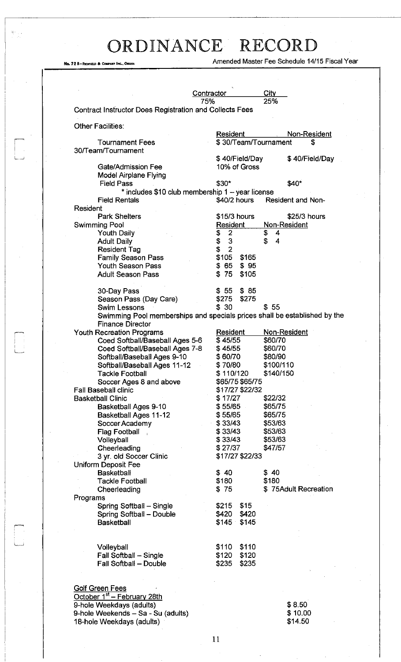.<br>المستأ

 $\sum_{i=1}^{N-1} \frac{1}{i!} \frac{1}{i!}$  .

i

Ne. 72 8-REDFIELD & COMFANT INC., OMAHA COMPANY AMANA AMERICAL AMERICAL AMERICAN AMERICAN AMERICAN PERSON PERSON PERSON PERSON PERSON PERSON PERSON PERSON PERSON PERSON PERSON PERSON PERSON PERSON PERSON PERSON PERSON PERS

|                                                         | City<br><b>Contractor</b><br>25%<br>75%                                   |
|---------------------------------------------------------|---------------------------------------------------------------------------|
| Contract Instructor Does Registration and Collects Fees |                                                                           |
|                                                         |                                                                           |
| <b>Other Facilities:</b>                                |                                                                           |
|                                                         | Non-Resident<br>Resident                                                  |
| <b>Tournament Fees</b><br>30/Team/Tournament            | \$30/Team/Tournament<br>\$                                                |
|                                                         | \$40/Field/Day<br>\$40/Field/Day                                          |
| Gate/Admission Fee                                      | 10% of Gross                                                              |
| <b>Model Airplane Flying</b>                            |                                                                           |
| <b>Field Pass</b>                                       | $$30*$<br>\$40*                                                           |
|                                                         | * includes \$10 club membership 1 - year license                          |
| <b>Field Rentals</b>                                    | \$40/2 hours<br>Resident and Non-                                         |
| <b>Resident</b>                                         |                                                                           |
| <b>Park Shelters</b>                                    | \$15/3 hours<br>\$25/3 hours                                              |
| Swimming Pool                                           | Resident<br>Non-Resident                                                  |
| <b>Youth Daily</b>                                      | \$<br>\$<br>\$<br>$\overline{2}$<br>4                                     |
| <b>Adult Daily</b>                                      | \$<br>$\mathbf{3}$<br>$\overline{4}$                                      |
| <b>Resident Tag</b>                                     | $\overline{2}$<br>\$                                                      |
| <b>Family Season Pass</b><br><b>Youth Season Pass</b>   | \$105<br>\$165<br>\$65<br>\$95                                            |
| <b>Adult Season Pass</b>                                | 75<br>\$<br>\$105                                                         |
|                                                         |                                                                           |
| 30-Day Pass                                             | \$85<br>\$55                                                              |
| Season Pass (Day Care)                                  | \$275<br>\$275                                                            |
| <b>Swim Lessons</b>                                     | \$30<br>\$55                                                              |
|                                                         | Swimming Pool memberships and specials prices shall be established by the |
| <b>Finance Director</b>                                 |                                                                           |
| <b>Youth Recreation Programs</b>                        | Non-Resident<br>Resident                                                  |
| Coed Softball/Baseball Ages 5-6                         | \$45/55<br>\$60/70                                                        |
| Coed Softball/Baseball Ages 7-8                         | \$60/70<br>\$45/55                                                        |
| Softball/Baseball Ages 9-10                             | \$60/70<br>\$80/90                                                        |
| Softball/Baseball Ages 11-12                            | \$70/80<br>\$100/110                                                      |
| Tackle Football                                         | \$110/120<br>\$140/150                                                    |
| Soccer Ages 8 and above<br><b>Fall Baseball clinic</b>  | \$65/75 \$65/75<br>\$17/27 \$22/32                                        |
| <b>Basketball Clinic</b>                                | \$17/27<br>\$22/32                                                        |
| Basketball Ages 9-10                                    | \$55/65<br>\$65/75                                                        |
| <b>Basketball Ages 11-12</b>                            | \$55/65<br>\$65/75                                                        |
| Soccer Academy                                          | \$33/43<br>\$53/63                                                        |
| <b>Flag Football</b>                                    | \$33/43<br>\$53/63                                                        |
| Volleyball                                              | \$33/43<br>\$53/63                                                        |
| Cheerleading                                            | \$27/37<br>\$47/57                                                        |
| 3 yr. old Soccer Clinic                                 | \$17/27 \$22/33                                                           |
| Uniform Deposit Fee                                     |                                                                           |
| <b>Basketball</b>                                       | \$40<br>\$40                                                              |
| <b>Tackle Football</b>                                  | \$180<br>\$180<br>\$75<br>\$75Adult Recreation                            |
| Cheerleading                                            |                                                                           |
| Programs<br>Spring Softball - Single                    | \$215<br>\$15                                                             |
| Spring Softball - Double                                | \$420<br>\$420                                                            |
| <b>Basketball</b>                                       | \$145<br>\$145                                                            |
|                                                         |                                                                           |
|                                                         |                                                                           |
| Volleyball                                              | \$110<br>\$110                                                            |
| Fall Softball - Single                                  | \$120<br>\$120                                                            |
| Fall Softball - Double                                  | \$235<br>\$235                                                            |
|                                                         |                                                                           |
| <b>Golf Green Fees</b>                                  |                                                                           |
| October 1 <sup>st</sup> - February 28th                 |                                                                           |
| 9-hole Weekdays (adults)                                | \$8.50                                                                    |
| 9-hole Weekends - Sa - Su (adults).                     | \$10.00                                                                   |
|                                                         |                                                                           |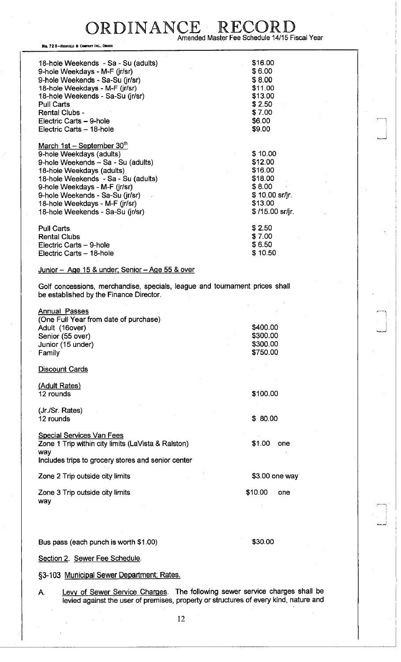ORDINANCE RECO Amended Master Fee Schedule 14/15 Fiscal Year

, 72 6—REDFIELD & COMPANY I

| NO. 72 B—REDFIELD & COMPANY INC., OMAHA                                                                                |                 |  |  |  |  |
|------------------------------------------------------------------------------------------------------------------------|-----------------|--|--|--|--|
| 18-hole Weekends - Sa - Su (adults)                                                                                    | \$16.00         |  |  |  |  |
| 9-hole Weekdays - M-F (jr/sr)                                                                                          |                 |  |  |  |  |
|                                                                                                                        | \$6.00          |  |  |  |  |
| 9-hole Weekends - Sa-Su (jr/sr)                                                                                        | \$8.00          |  |  |  |  |
| 18-hole Weekdays - M-F (jr/sr)                                                                                         | \$11.00         |  |  |  |  |
| 18-hole Weekends - Sa-Su (jr/sr)                                                                                       | \$13.00         |  |  |  |  |
| <b>Pull Carts</b>                                                                                                      | \$2.50          |  |  |  |  |
| <b>Rental Clubs -</b>                                                                                                  | \$7.00          |  |  |  |  |
| Electric Carts - 9-hole                                                                                                | \$6.00          |  |  |  |  |
| Electric Carts - 18-hole                                                                                               | \$9.00          |  |  |  |  |
|                                                                                                                        |                 |  |  |  |  |
| March 1st - September 30th                                                                                             |                 |  |  |  |  |
| 9-hole Weekdays (adults)                                                                                               | \$10.00         |  |  |  |  |
| 9-hole Weekends - Sa - Su (adults)                                                                                     | \$12.00         |  |  |  |  |
| 18-hole Weekdays (adults)                                                                                              | \$16.00         |  |  |  |  |
| 18-hole Weekends - Sa - Su (adults)                                                                                    | \$18.00         |  |  |  |  |
| 9-hole Weekdays - M-F (jr/sr)                                                                                          | \$8.00          |  |  |  |  |
| 9-hole Weekends - Sa-Su (jr/sr)                                                                                        | \$10.00 sr/jr.  |  |  |  |  |
| 18-hole Weekdays - M-F (jr/sr)                                                                                         | \$13.00         |  |  |  |  |
| 18-hole Weekends - Sa-Su (jr/sr)                                                                                       | \$/15.00 sr/jr. |  |  |  |  |
|                                                                                                                        |                 |  |  |  |  |
| <b>Pull Carts</b>                                                                                                      | \$2.50          |  |  |  |  |
| <b>Rental Clubs</b>                                                                                                    | \$7.00          |  |  |  |  |
| Electric Carts - 9-hole                                                                                                | \$6.50          |  |  |  |  |
| Electric Carts - 18-hole                                                                                               | \$10.50         |  |  |  |  |
|                                                                                                                        |                 |  |  |  |  |
| <u> Junior – Age 15 &amp; under; Senior – Age 55 &amp; over</u>                                                        |                 |  |  |  |  |
| Golf concessions, merchandise, specials, league and tournament prices shall<br>be established by the Finance Director. |                 |  |  |  |  |
|                                                                                                                        |                 |  |  |  |  |
| <b>Annual Passes</b>                                                                                                   |                 |  |  |  |  |
| (One Full Year from date of purchase)                                                                                  |                 |  |  |  |  |
| Adult (16over)                                                                                                         | \$400.00        |  |  |  |  |
| Senior (55 over)                                                                                                       | \$300.00        |  |  |  |  |
|                                                                                                                        | \$300.00        |  |  |  |  |
| Junior (15 under)                                                                                                      | \$750.00        |  |  |  |  |
| Family                                                                                                                 |                 |  |  |  |  |
| Discount Cards                                                                                                         |                 |  |  |  |  |
|                                                                                                                        |                 |  |  |  |  |
| (Adult Rates)                                                                                                          |                 |  |  |  |  |
| 12 rounds                                                                                                              | \$100.00        |  |  |  |  |
|                                                                                                                        |                 |  |  |  |  |
| (Jr./Sr. Rates)                                                                                                        |                 |  |  |  |  |
| 12 rounds                                                                                                              | \$80.00         |  |  |  |  |
|                                                                                                                        |                 |  |  |  |  |

Special Services Van Fees Zone 1 Trip within city limits (LaVista & Ralston) way

Includes trips to grocery stores and senior center

Zone 2 Trip outside city limits

Zone 3 Trip outside city limits way

Bus pass (each punch is worth \$1.00) \$30.00

\$1.00 one

\$3.00 one way

\$10.00 one

Section 2. Sewer Fee Schedule.

§3-103 Municipal Sewer Department; Rates.

A. Levy of Sewer Service Charges. The following sewer service charges shall be levied against the user of premises, property or structures of every kind, nature and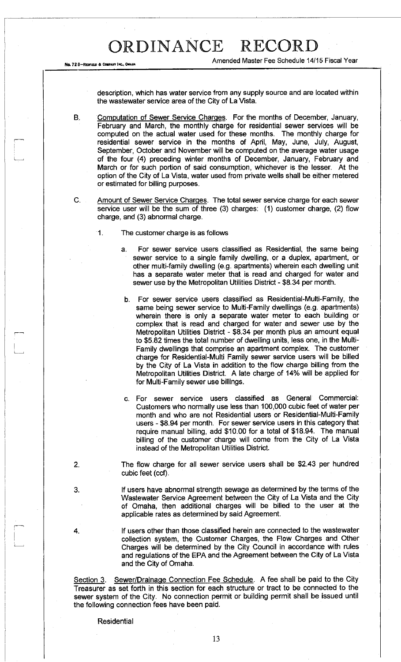No. 728-REDFIELD & COMPANY INC., OM

Amended Master Fee Schedule 14/15 Fiscal Year

description, which has water service from any supply source and are located within the wastewater service area of the City of La Vista.

B. Computation of Sewer Service Charges. For the months of December, January, February and March, the monthly charge for residential sewer services will be computed on the actual water used for these months. The monthly charge for residential sewer service in the months of April, May, June, July, August, September, October and November will be computed on the average water usage of the four (4) preceding winter months of December, January, February and March or for such portion of said consumption, whichever is the lesser. At the option of the City of La Vista, water used from private wells shall be either metered or estimated for billing purposes.

C. Amount of Sewer Service Charges. The total sewer service charge for each sewer service user will be the sum of three (3) charges: (1) customer charge, (2) flow charge, and (3) abnormal charge.

1. The customer charge is as follows

a. For sewer service users classified as Residential, the same being sewer service to a single family dwelling, or a duplex, apartment, or other multi-family dwelling (e.g. apartments) wherein each dwelling unit has a separate water meter that is read and charged for water and sewer use by the Metropolitan Utilities District - \$8.34 per month.

- b. For sewer service users classified as Residential-Multi-Family, the same being sewer service to Multi-Family dwellings (e.g. apartments) wherein there is only a separate water meter to each building or complex that is read and charged for water and sewer use by the Metropolitan Utilities District - \$8.34 per month plus an amount equal to \$5.82 times the total number of dwelling units, less one, in the Multi-Family dwellings that comprise an apartment complex. The customer charge for Residential-Multi Family sewer service users will be billed by the City of La Vista in addition to the flow charge billing from the Metropolitan Utilities District. A late charge of 14% will be applied for for Multi-Family sewer use billings.
- c. For sewer service users classified as General Commercial: Customers who normally use less than 100,000 cubic feet of water per month and who are not Residential users or Residential-Multi-Family users - \$8.94 per month. For sewer service users in this category that require manual billing, add \$10.00 for a total of \$18.94. The manual billing of the customer charge will come from the City of La Vista instead of the Metropolitan Utilities District.
- 2. The flow charge for all sewer service users shall be \$2.43 per hundred cubic feet (ccf).
- 3. If users have abnormal strength sewage as determined by the terms of the Wastewater Service Agreement between the City of La Vista and the City of Omaha, then additional charges will be billed to the user at the applicable rates as determined by said Agreement

4. If users other than those classified herein are connected to the wastewater collection system, the Customer Charges, the Flow Charges and Other Charges will be determined by the City Council in accordance with rules and regulations of the EPA and the Agreement between the City of La Vista and the City of Omaha.

Section 3. Sewer/Drainage Connection Fee Schedule. A fee shall be paid to the City Treasurer as set forth in this section for each structure or tract to be connected to the sewer system of the City. No connection permit or building permit shall be issued until the following connection fees have been paid.

**Residential**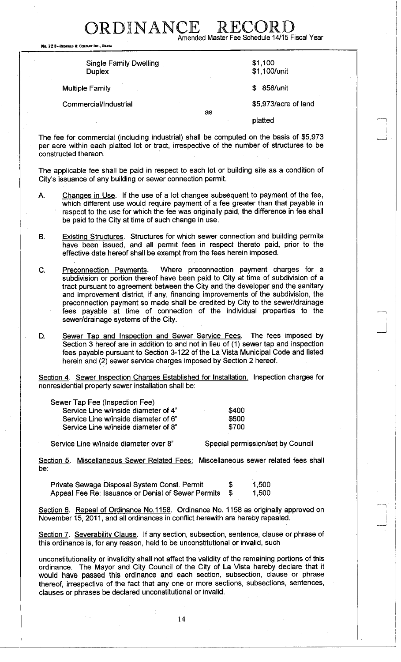No. 72 B-REDFIELD & COMPANY INC., OMAH

Single Family Dwelling **Duplex** 

Multiple Family \$ 858/unit

### Commercial/Industrial  $$5,973/ \text{acre of land}$

as

Amended Master Fee Schedule 14/15 Fiscal Year

\$1,100 \$1,100/unit

platted

The fee for commercial (including industrial) shall be computed on the basis of \$5,973 per acre within each platted lot or tract, irrespective of the number of structures to be constructed thereon.

RDINANCE RECO

The applicable fee shall be paid in respect to each lot or building site as a condition of City's issuance of any building or sewer connection permit.

- A. Changes in Use. If the use of a lot changes subsequent to payment of the fee, which different use would require payment of a fee greater than that payable in respect to the use for which the fee was originally paid, the difference in fee shall be paid to the City at time of such change in use.
- B. Existing Structures. Structures for which sewer connection and building permits have been issued, and all permit fees in respect thereto paid, prior to the effective date hereof shall be exempt from the fees herein imposed.
- C. Preconnection Payments. Where preconnection payment charges for a subdivision or portion thereof have been paid to City at time of subdivision of a tract pursuant to agreement between the City and the developer and the sanitary and improvement district, if any, financing improvements of the subdivision, the preconnection payment so made shall be credited by City to the sewer/drainage fees payable at time of connection of the individual properties to the sewer/drainage systems of the City.
- D. Sewer Tap and Inspection and Sewer Service Fees. The fees imposed by Section 3 hereof are in addition to and not in lieu of (1) sewer tap and inspection fees payable pursuant to Section 3-122 of the La Vista Municipal Code and listed herein and (2) sewer service charges imposed by Section 2 hereof.

Section 4. Sewer Inspection Charges Established for Installation. Inspection charges for nonresidential property sewer installation shall be:

| Sewer Tap Fee (Inspection Fee)       |       |
|--------------------------------------|-------|
| Service Line w/inside diameter of 4" | \$400 |
| Service Line w/inside diameter of 6" | \$600 |
| Service Line w/inside diameter of 8" | \$700 |
|                                      |       |

Service Line w/inside diameter over 8" Special permission/set by Council

Section 5. Miscellaneous Sewer Related Fees: Miscellaneous sewer related fees shall be:

Private Sewage Disposal System Const. Permit  $$ 1,500$ Appeal Fee Re: Issuance or Denial of Sewer Permits  $$$  1,500

Section 6. Repeal of Ordinance No.1158. Ordinance No. 1158 as originally approved on November 15, 2011, and all ordinances in conflict herewith are hereby repealed.

Section 7. Severability Clause. If any section, subsection, sentence, clause or phrase of this ordinance is, for any reason, held to be unconstitutional or invalid, such

unconstitutionality or invalidity shall not affect the validity of the remaining portions of this ordinance. The Mayor and City Council of the City of La Vista hereby declare that it would have passed this ordinance and each section, subsection, clause or phrase thereof, irrespective of the fact that any one or more sections, subsections, sentences, clauses or phrases be declared unconstitutional or invalid.

14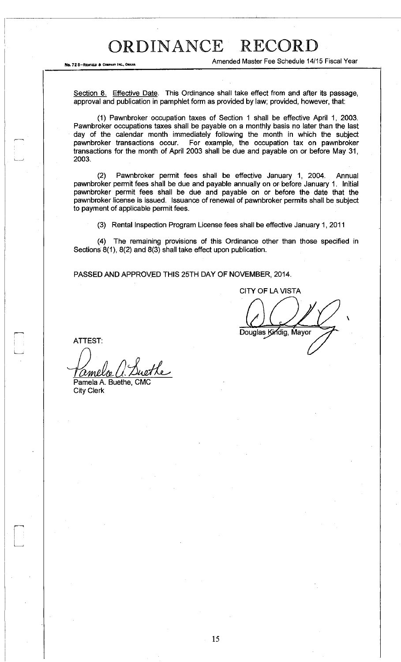No. 72 8-REDFIELD & COMPANY

Amended Master Fee Schedule 14/15 Fiscal Year

Section 8. Effective Date. This Ordinance shall take effect from and after its passage, approval and publication in pamphlet form as provided by law; provided, however, that:

(1) Pawnbroker occupation taxes of Section 1 shall be effective April 1, 2003. Pawnbroker occupations taxes shall be payable on a monthly basis no later than the last day of the calendar month immediately following the month in which the subject pawnbroker transactions occur. For example, the occupation tax on pawnbroker For example, the occupation tax on pawnbroker transactions for the month of April 2003 shall be due and payable on or before May 31, 2003.

(2) Pawnbroker permit fees shall be effective January 1, 2004. Annual pawnbroker permit fees shall be due and payable annually on or before January 1. Initial pawnbroker permit fees shall be due and payable on or before the date that the pawnbroker license is issued. Issuance of renewal of pawnbroker permits shall be subject to payment of applicable permit fees.

(3) Rental Inspection Program License fees shall be effective January 1, 2011

(4) The remaining provisions of this Ordinance other than those specified in Sections 8(1), 8(2) and 8(3) shall take effect upon publication.

PASSED AND APPROVED THIS 25TH DAY OF NOVEMBER, 2014.

CITY OF LA VISTA Douglas Kindig, Mayor

ATTEST:

ethe amelo Pamela A. Buethe, CM

City Clerk